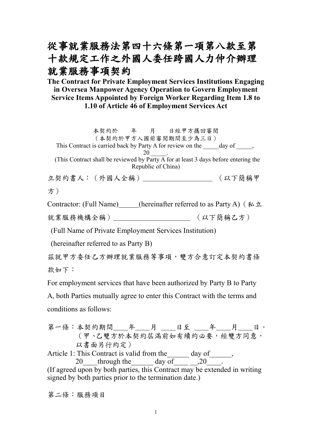# 從事就業服務法第四十六條第一項第八款至第 十款規定工作之外國人委任跨國人力仲介辦理 就業服務事項契約

## **The Contract for Private Employment Services Institutions Engaging in Oversea Manpower Agency Operation to Govern Employment Service Items Appointed by Foreign Worker Regarding Item 1.8 to 1.10 of Article 46 of Employment Services Act**

本契約於 年 月 日經甲方攜回審閱 (本契約於甲方入國前審閱期間至少為三日) This Contract is carried back by Party A for review on the day of  $\qquad \qquad$ , 20 \_\_\_\_\_. (This Contract shall be reviewed by Party  $\overline{A}$  for at least 3 days before entering the Republic of China) 立契約書人:(外國人全稱)\_\_\_\_\_\_\_\_\_\_\_\_\_\_\_\_\_\_\_ (以下簡稱甲 方)

Contractor: (Full Name) (hereinafter referred to as Party A) (私立

就業服務機構全稱)\_\_\_\_\_\_\_\_\_\_\_\_\_\_\_\_\_\_\_\_\_ (以下簡稱乙方)

(Full Name of Private Employment Services Institution)

(hereinafter referred to as Party B)

茲就甲方委任乙方辦理就業服務等事項,雙方合意訂定本契約書條 款如下:

For employment services that have been authorized by Party B to Party

A, both Parties mutually agree to enter this Contract with the terms and conditions as follows:

第一條:本契約期間\_\_\_\_年\_\_\_\_月 \_\_\_\_日至 \_\_\_\_年\_\_\_\_月\_\_\_\_日。 (甲、乙雙方於本契約屆滿前如有續約必要,經雙方同意, 以書面另行約定)

Article 1: This Contract is valid from the day of \_\_\_\_\_, 20 through the day of  $\frac{20}{\cdot}$ . (If agreed upon by both parties, this Contract may be extended in writing signed by both parties prior to the termination date.)

第二條:服務項目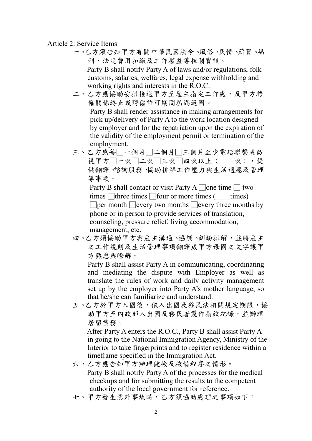### Article 2: Service Items

- 一、乙方須告知甲方有關中華民國法令、風俗、民情、薪資、福 利、法定費用扣繳及工作權益等相關資訊。 Party B shall notify Party A of laws and/or regulations, folk customs, salaries, welfares, legal expense withholding and working rights and interests in the R.O.C.
- 二、乙方應協助安排接送甲方至雇主指定工作處,及甲方聘 僱關係終止或聘僱許可期間屆滿返國。 Party B shall render assistance in making arrangements for pick up/delivery of Party A to the work location designed by employer and for the repatriation upon the expiration of the validity of the employment permit or termination of the employment.
- 三、乙方應每□一個月□二個月□一個月至少電話聯繫或訪 視甲方□一次□二次□三次□四次以上(\_\_\_次),提 供翻譯、諮詢服務、協助排解工作壓力與生活適應及管理 等事項。

Party B shall contact or visit Party A  $\Box$ one time  $\Box$  two times  $\Box$  three times  $\Box$  four or more times ( \_\_\_\_\_times)

 $\Box$  per month  $\Box$  every two months  $\Box$  every three months by phone or in person to provide services of translation, counseling, pressure relief, living accommodation, management, etc.

四、乙方須協助甲方與雇主溝通、協調、糾紛排解,並將雇主 之工作規則及生活管理事項翻譯成甲方母國之文字讓甲 方熟悉與瞭解。

 Party B shall assist Party A in communicating, coordinating and mediating the dispute with Employer as well as translate the rules of work and daily activity management set up by the employer into Party A's mother language, so that he/she can familiarize and understand.

五、乙方於甲方入國後,依入出國及移民法相關規定期限,協 助甲方至內政部入出國及移民署製作指紋紀錄,並辦理 居留業務。

 After Party A enters the R.O.C., Party B shall assist Party A in going to the National Immigration Agency, Ministry of the Interior to take fingerprints and to register residence within a timeframe specified in the Immigration Act.

六、乙方應告知甲方辦理健檢及核備程序之情形。 Party B shall notify Party A of the processes for the medical checkups and for submitting the results to the competent authority of the local government for reference.

七、甲方發生意外事故時,乙方須協助處理之事項如下: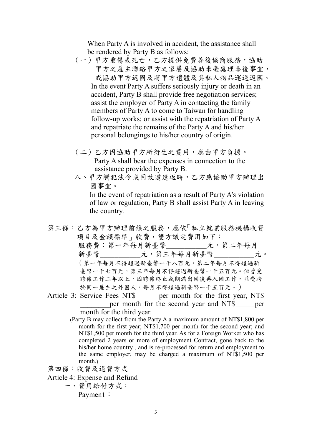When Party A is involved in accident, the assistance shall be rendered by Party B as follows:

- (一)甲方重傷或死亡,乙方提供免費善後協商服務,協助 甲方之雇主聯絡甲方之家屬及協助來臺處理善後事宜, 或協助甲方返國及將甲方遺體及其私人物品運送返國。 In the event Party A suffers seriously injury or death in an accident, Party B shall provide free negotiation services; assist the employer of Party A in contacting the family members of Party A to come to Taiwan for handling follow-up works; or assist with the repatriation of Party A and repatriate the remains of the Party A and his/her personal belongings to his/her country of origin.
- (二)乙方因協助甲方所衍生之費用,應由甲方負擔。 Party A shall bear the expenses in connection to the assistance provided by Party B.
- 八、甲方觸犯法令或因故遭遣返時,乙方應協助甲方辦理出 國事宜。

In the event of repatriation as a result of Party A's violation of law or regulation, Party B shall assist Party A in leaving the country.

第三條:乙方為甲方辦理前條之服務,應依「私立就業服務機構收費 項目及金額標準」收費,雙方議定費用如下: 服務費:第一年每月新臺幣 元,第二年每月 新臺幣\_\_\_\_\_\_\_\_\_\_\_\_元,第三年每月新臺幣\_\_\_\_\_\_\_\_\_\_元。 (第一年每月不得超過新臺幣一千八百元,第二年每月不得超過新 臺幣一千七百元,第三年每月不得超過新臺幣一千五百元。但曾受 聘僱工作二年以上,因聘僱終止或期滿出國後再入國工作,並受聘 於同一雇主之外國人,每月不得超過新臺幣一千五百元。)

- Article 3: Service Fees NT\$\_\_\_\_\_ per month for the first year, NT\$ per month for the second year and NT\$ per month for the third year.
	- (Party B may collect from the Party A a maximum amount of NT\$1,800 per month for the first year; NT\$1,700 per month for the second year; and NT\$1,500 per month for the third year. As for a Foreign Worker who has completed 2 years or more of employment Contract, gone back to the his/her home country , and is re-processed for return and employment to the same employer, may be charged a maximum of NT\$1,500 per month.)
- 第四條:收費及退費方式
- Article 4: Expense and Refund
	- 一、費用給付方式:

Payment: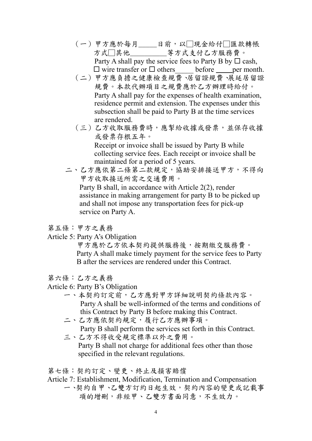- (一)甲方應於每月\_\_\_\_\_日前,以□現金給付□匯款轉帳 方式□其他\_\_\_\_\_\_\_\_\_等方式支付乙方服務費。 Party A shall pay the service fees to Party B by  $\Box$  cash,  $\square$  wire transfer or  $\square$  others before per month.
- (二)甲方應負擔之健康檢查規費、居留證規費、展延居留證 規費。本款代辦項目之規費應於乙方辦理時給付。 Party A shall pay for the expenses of health examination, residence permit and extension. The expenses under this subsection shall be paid to Party B at the time services are rendered.
- (三)乙方收取服務費時,應掣給收據或發票,並保存收據 或發票存根五年。 Receipt or invoice shall be issued by Party B while collecting service fees. Each receipt or invoice shall be maintained for a period of 5 years.
- 二、乙方應依第二條第二款規定,協助安排接送甲方,不得向 甲方收取接送所需之交通費用。 Party B shall, in accordance with Article 2(2), render

assistance in making arrangement for party B to be picked up and shall not impose any transportation fees for pick-up service on Party A.

第五條:甲方之義務

Article 5: Party A's Obligation

甲方應於乙方依本契約提供服務後,按期繳交服務費。 Party A shall make timely payment for the service fees to Party B after the services are rendered under this Contract.

- 第六條:乙方之義務
- Article 6: Party B's Obligation
	- 一、本契約訂定前,乙方應對甲方詳細說明契約條款內容。 Party A shall be well-informed of the terms and conditions of this Contract by Party B before making this Contract.
	- 二、乙方應依契約規定,履行乙方應辦事項。 Party B shall perform the services set forth in this Contract.
	- 三、乙方不得收受規定標準以外之費用。 Party B shall not charge for additional fees other than those specified in the relevant regulations.

第七條:契約訂定、變更、終止及損害賠償

Article 7: Establishment, Modification, Termination and Compensation

一、契約自甲、乙雙方訂約日起生效,契約內容的變更或記載事 項的增刪,非經甲、乙雙方書面同意,不生效力。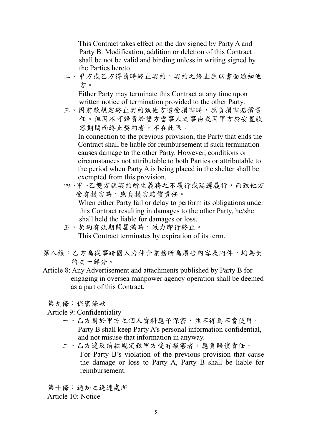This Contract takes effect on the day signed by Party A and Party B. Modification, addition or deletion of this Contract shall be not be valid and binding unless in writing signed by the Parties hereto.

二、甲方或乙方得隨時終止契約,契約之終止應以書面通知他 方。

 Either Party may terminate this Contract at any time upon written notice of termination provided to the other Party.

三、因前款規定終止契約致他方遭受損害時,應負損害賠償責 任。但因不可歸責於雙方當事人之事由或因甲方於安置收 容期間而終止契約者,不在此限。 In connection to the previous provision, the Party that ends the

Contract shall be liable for reimbursement if such termination causes damage to the other Party. However, conditions or circumstances not attributable to both Parties or attributable to the period when Party A is being placed in the shelter shall be exempted from this provision.

- 四、甲、乙雙方就契約所生義務之不履行或延遲履行,而致他方 受有損害時,應負損害賠償責任。 When either Party fail or delay to perform its obligations under this Contract resulting in damages to the other Party, he/she shall held the liable for damages or loss.
- 五、契約有效期間屆滿時,效力即行終止。 This Contract terminates by expiration of its term.
- 第八條:乙方為從事跨國人力仲介業務所為廣告內容及附件,均為契 約之一部分。
- Article 8: Any Advertisement and attachments published by Party B for engaging in oversea manpower agency operation shall be deemed as a part of this Contract.
	- 第九條:保密條款
	- Article 9: Confidentiality
		- 一、乙方對於甲方之個人資料應予保密,並不得為不當使用。 Party B shall keep Party A's personal information confidential, and not misuse that information in anyway.
		- 二、乙方違反前款規定致甲方受有損害者,應負賠償責任。 For Party B's violation of the previous provision that cause the damage or loss to Party A, Party B shall be liable for reimbursement.

第十條:通知之送達處所 Article 10: Notice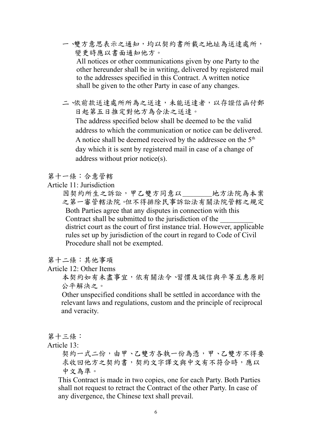- 一、雙方意思表示之通知,均以契約書所載之地址為送達處所, 變更時應以書面通知他方。 All notices or other communications given by one Party to the other hereunder shall be in writing, delivered by registered mail to the addresses specified in this Contract. A written notice shall be given to the other Party in case of any changes.
- 二、依前款送達處所所為之送達,未能送達者,以存證信函付郵 日起第五日推定對他方為合法之送達。 The address specified below shall be deemed to be the valid address to which the communication or notice can be delivered. A notice shall be deemed received by the addressee on the  $5<sup>th</sup>$ day which it is sent by registered mail in case of a change of address without prior notice(s).

## 第十一條:合意管轄

Article 11: Jurisdiction

因契約所生之訴訟,甲乙雙方同意以\_\_\_\_\_\_\_地方法院為本案 之第一審管轄法院。但不得排除民事訴訟法有關法院管轄之規定 Both Parties agree that any disputes in connection with this Contract shall be submitted to the jurisdiction of the \_\_\_\_\_\_\_\_\_ district court as the court of first instance trial. However, applicable rules set up by jurisdiction of the court in regard to Code of Civil Procedure shall not be exempted.

#### 第十二條:其他事項

Article 12: Other Items

 本契約如有未盡事宜,依有關法令、習慣及誠信與平等互惠原則 公平解決之。

 Other unspecified conditions shall be settled in accordance with the relevant laws and regulations, custom and the principle of reciprocal and veracity.

第十三條:

Article 13:

契約一式二份,由甲、乙雙方各執一份為憑,甲、乙雙方不得要 求收回他方之契約書,契約文字譯文與中文有不符合時,應以 中文為準。

This Contract is made in two copies, one for each Party. Both Parties shall not request to retract the Contract of the other Party. In case of any divergence, the Chinese text shall prevail.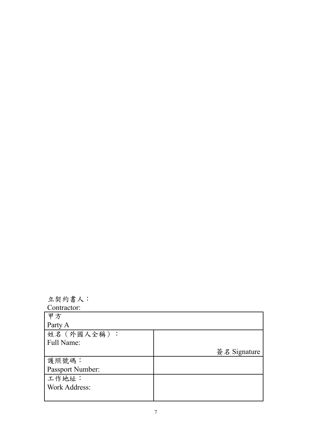| 立契約書人:               |              |
|----------------------|--------------|
| Contractor:          |              |
| 甲方                   |              |
| Party A              |              |
| 姓名 (外國人全稱):          |              |
| Full Name:           |              |
|                      | 簽名 Signature |
| 護照號碼:                |              |
| Passport Number:     |              |
|                      |              |
| 工作地址:                |              |
| <b>Work Address:</b> |              |